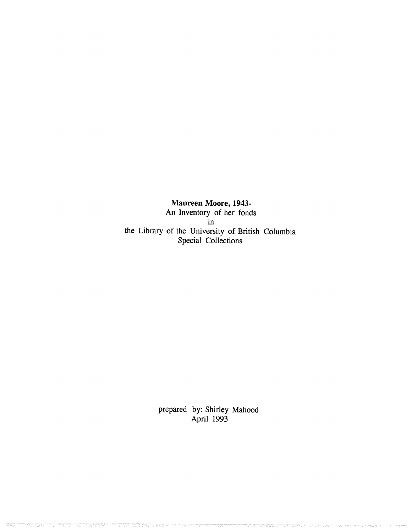**Maureen Moore, 1943- An Inventory of her fonds in the Library of the University of British Columbia Special Collections**

> prepared by: Shirley Mahood April 1993